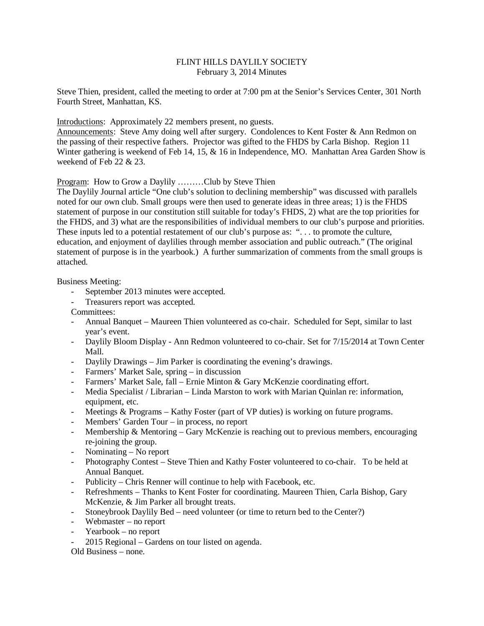# FLINT HILLS DAYLILY SOCIETY February 3, 2014 Minutes

Steve Thien, president, called the meeting to order at 7:00 pm at the Senior's Services Center, 301 North Fourth Street, Manhattan, KS.

Introductions: Approximately 22 members present, no guests.

Announcements: Steve Amy doing well after surgery. Condolences to Kent Foster & Ann Redmon on the passing of their respective fathers. Projector was gifted to the FHDS by Carla Bishop. Region 11 Winter gathering is weekend of Feb 14, 15, & 16 in Independence, MO. Manhattan Area Garden Show is weekend of Feb 22 & 23.

Program: How to Grow a Daylily ………Club by Steve Thien

The Daylily Journal article "One club's solution to declining membership" was discussed with parallels noted for our own club. Small groups were then used to generate ideas in three areas; 1) is the FHDS statement of purpose in our constitution still suitable for today's FHDS, 2) what are the top priorities for the FHDS, and 3) what are the responsibilities of individual members to our club's purpose and priorities. These inputs led to a potential restatement of our club's purpose as: ". . . to promote the culture, education, and enjoyment of daylilies through member association and public outreach." (The original statement of purpose is in the yearbook.) A further summarization of comments from the small groups is attached.

Business Meeting:

- September 2013 minutes were accepted.
- Treasurers report was accepted.
- Committees:
- Annual Banquet Maureen Thien volunteered as co-chair. Scheduled for Sept, similar to last year's event.
- Daylily Bloom Display Ann Redmon volunteered to co-chair. Set for 7/15/2014 at Town Center Mall.
- Daylily Drawings Jim Parker is coordinating the evening's drawings.
- Farmers' Market Sale, spring in discussion
- Farmers' Market Sale, fall Ernie Minton & Gary McKenzie coordinating effort.
- Media Specialist / Librarian Linda Marston to work with Marian Quinlan re: information, equipment, etc.
- Meetings & Programs Kathy Foster (part of VP duties) is working on future programs.
- Members' Garden Tour in process, no report
- Membership & Mentoring Gary McKenzie is reaching out to previous members, encouraging re-joining the group.
- Nominating No report
- Photography Contest Steve Thien and Kathy Foster volunteered to co-chair. To be held at Annual Banquet.
- Publicity Chris Renner will continue to help with Facebook, etc.
- Refreshments Thanks to Kent Foster for coordinating. Maureen Thien, Carla Bishop, Gary McKenzie, & Jim Parker all brought treats.
- Stoneybrook Daylily Bed need volunteer (or time to return bed to the Center?)
- Webmaster no report
- Yearbook no report
- 2015 Regional Gardens on tour listed on agenda.

Old Business – none.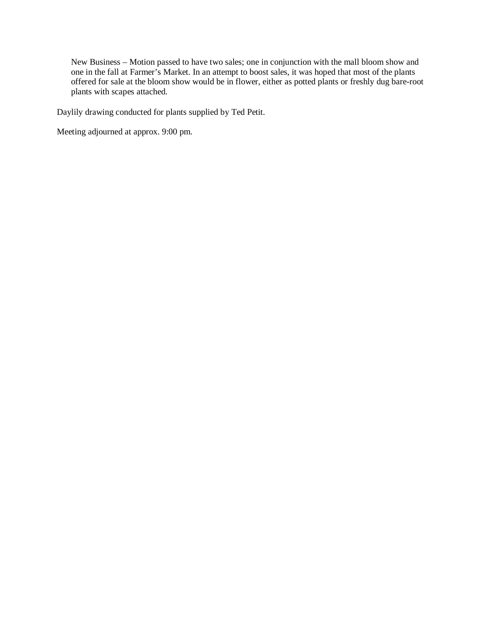New Business – Motion passed to have two sales; one in conjunction with the mall bloom show and one in the fall at Farmer's Market. In an attempt to boost sales, it was hoped that most of the plants offered for sale at the bloom show would be in flower, either as potted plants or freshly dug bare-root plants with scapes attached.

Daylily drawing conducted for plants supplied by Ted Petit.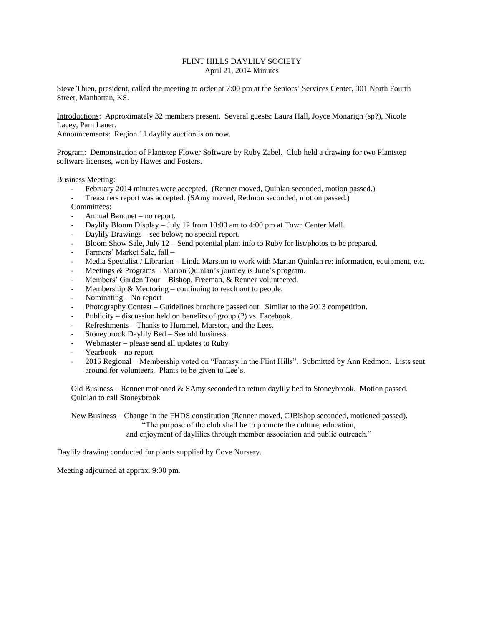## FLINT HILLS DAYLILY SOCIETY April 21, 2014 Minutes

Steve Thien, president, called the meeting to order at 7:00 pm at the Seniors' Services Center, 301 North Fourth Street, Manhattan, KS.

Introductions: Approximately 32 members present. Several guests: Laura Hall, Joyce Monarign (sp?), Nicole Lacey, Pam Lauer.

Announcements: Region 11 daylily auction is on now.

Program: Demonstration of Plantstep Flower Software by Ruby Zabel. Club held a drawing for two Plantstep software licenses, won by Hawes and Fosters.

Business Meeting:

- February 2014 minutes were accepted. (Renner moved, Quinlan seconded, motion passed.)
- Treasurers report was accepted. (SAmy moved, Redmon seconded, motion passed.)
- Committees:
- Annual Banquet no report.
- Daylily Bloom Display July 12 from 10:00 am to 4:00 pm at Town Center Mall.
- Daylily Drawings see below; no special report.
- Bloom Show Sale, July 12 Send potential plant info to Ruby for list/photos to be prepared.
- Farmers' Market Sale, fall -
- Media Specialist / Librarian Linda Marston to work with Marian Quinlan re: information, equipment, etc.
- Meetings & Programs Marion Quinlan's journey is June's program.
- Members' Garden Tour Bishop, Freeman, & Renner volunteered.
- Membership  $\&$  Mentoring continuing to reach out to people.
- Nominating No report
- Photography Contest Guidelines brochure passed out. Similar to the 2013 competition.
- Publicity discussion held on benefits of group  $(?)$  vs. Facebook.
- Refreshments Thanks to Hummel, Marston, and the Lees.
- Stoneybrook Daylily Bed See old business.
- Webmaster please send all updates to Ruby
- Yearbook no report
- 2015 Regional Membership voted on "Fantasy in the Flint Hills". Submitted by Ann Redmon. Lists sent around for volunteers. Plants to be given to Lee's.

Old Business – Renner motioned & SAmy seconded to return daylily bed to Stoneybrook. Motion passed. Quinlan to call Stoneybrook

New Business – Change in the FHDS constitution (Renner moved, CJBishop seconded, motioned passed). "The purpose of the club shall be to promote the culture, education, and enjoyment of daylilies through member association and public outreach."

Daylily drawing conducted for plants supplied by Cove Nursery.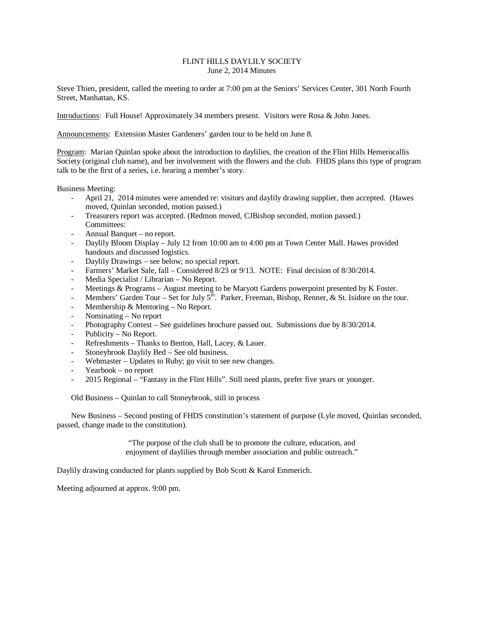#### FLINT HILLS DAYLILY SOCIETY June 2, 2014 Minutes

Steve Thien, president, called the meeting to order at 7:00 pm at the Seniors' Services Center, 301 North Fourth Street, Manhattan, KS.

Introductions: Full House! Approximately 34 members present. Visitors were Rosa & John Jones.

Announcements: Extension Master Gardeners' garden tour to be held on June 8.

Program: Marian Quinlan spoke about the introduction to daylilies, the creation of the Flint Hills Hemerocallis Society (original club name), and her involvement with the flowers and the club. FHDS plans this type of program talk to be the first of a series, i.e. hearing a member's story.

Business Meeting:

- April 21, 2014 minutes were amended re: visitors and daylily drawing supplier, then accepted. (Hawes moved, Quinlan seconded, motion passed.)
- Treasurers report was accepted. (Redmon moved, CJBishop seconded, motion passed.) Committees:
- Annual Banquet no report.
- Daylily Bloom Display July 12 from 10:00 am to 4:00 pm at Town Center Mall. Hawes provided handouts and discussed logistics.
- Daylily Drawings see below; no special report.
- Farmers' Market Sale, fall Considered 8/23 or 9/13. NOTE: Final decision of 8/30/2014.
- Media Specialist / Librarian No Report.
- Meetings & Programs August meeting to be Maryott Gardens powerpoint presented by K Foster.
- Members' Garden Tour Set for July  $5<sup>th</sup>$ . Parker, Freeman, Bishop, Renner, & St. Isidore on the tour.
- Membership  $&$  Mentoring No Report.
- Nominating No report
- Photography Contest See guidelines brochure passed out. Submissions due by 8/30/2014.
- Publicity No Report.
- Refreshments Thanks to Benton, Hall, Lacey, & Lauer.
- Stoneybrook Daylily Bed See old business.
- Webmaster Updates to Ruby; go visit to see new changes.
- Yearbook no report
- 2015 Regional "Fantasy in the Flint Hills". Still need plants, prefer five years or younger.

Old Business – Quinlan to call Stoneybrook, still in process

New Business – Second posting of FHDS constitution's statement of purpose (Lyle moved, Quinlan seconded, passed, change made to the constitution).

> "The purpose of the club shall be to promote the culture, education, and enjoyment of daylilies through member association and public outreach."

Daylily drawing conducted for plants supplied by Bob Scott & Karol Emmerich.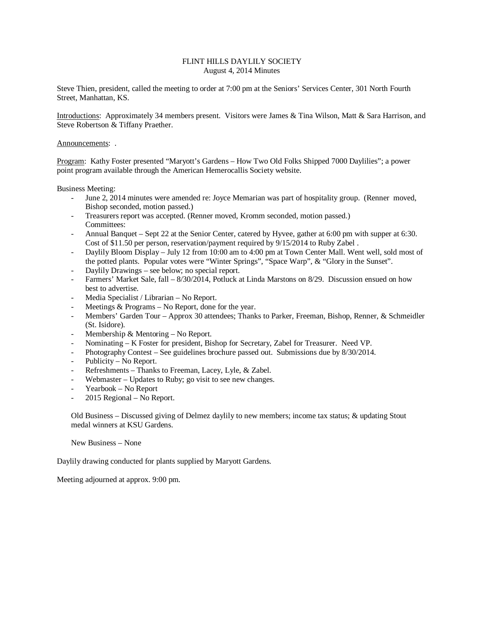## FLINT HILLS DAYLILY SOCIETY August 4, 2014 Minutes

Steve Thien, president, called the meeting to order at 7:00 pm at the Seniors' Services Center, 301 North Fourth Street, Manhattan, KS.

Introductions: Approximately 34 members present. Visitors were James & Tina Wilson, Matt & Sara Harrison, and Steve Robertson & Tiffany Praether.

#### Announcements: .

Program: Kathy Foster presented "Maryott's Gardens – How Two Old Folks Shipped 7000 Daylilies"; a power point program available through the American Hemerocallis Society website.

Business Meeting:

- June 2, 2014 minutes were amended re: Joyce Memarian was part of hospitality group. (Renner moved, Bishop seconded, motion passed.)
- Treasurers report was accepted. (Renner moved, Kromm seconded, motion passed.) Committees:
- Annual Banquet Sept 22 at the Senior Center, catered by Hyvee, gather at 6:00 pm with supper at 6:30. Cost of \$11.50 per person, reservation/payment required by 9/15/2014 to Ruby Zabel .
- Daylily Bloom Display July 12 from 10:00 am to 4:00 pm at Town Center Mall. Went well, sold most of the potted plants. Popular votes were "Winter Springs", "Space Warp", & "Glory in the Sunset".
- Daylily Drawings see below; no special report.
- Farmers' Market Sale, fall 8/30/2014, Potluck at Linda Marstons on 8/29. Discussion ensued on how best to advertise.
- Media Specialist / Librarian No Report.
- Meetings  $&$  Programs No Report, done for the year.
- Members' Garden Tour Approx 30 attendees; Thanks to Parker, Freeman, Bishop, Renner, & Schmeidler (St. Isidore).
- Membership  $&$  Mentoring No Report.
- Nominating K Foster for president, Bishop for Secretary, Zabel for Treasurer. Need VP.
- Photography Contest See guidelines brochure passed out. Submissions due by  $8/30/2014$ .
- Publicity No Report.
- Refreshments Thanks to Freeman, Lacey, Lyle, & Zabel.
- Webmaster Updates to Ruby; go visit to see new changes.
- Yearbook No Report
- 2015 Regional No Report.

Old Business – Discussed giving of Delmez daylily to new members; income tax status; & updating Stout medal winners at KSU Gardens.

New Business – None

Daylily drawing conducted for plants supplied by Maryott Gardens.